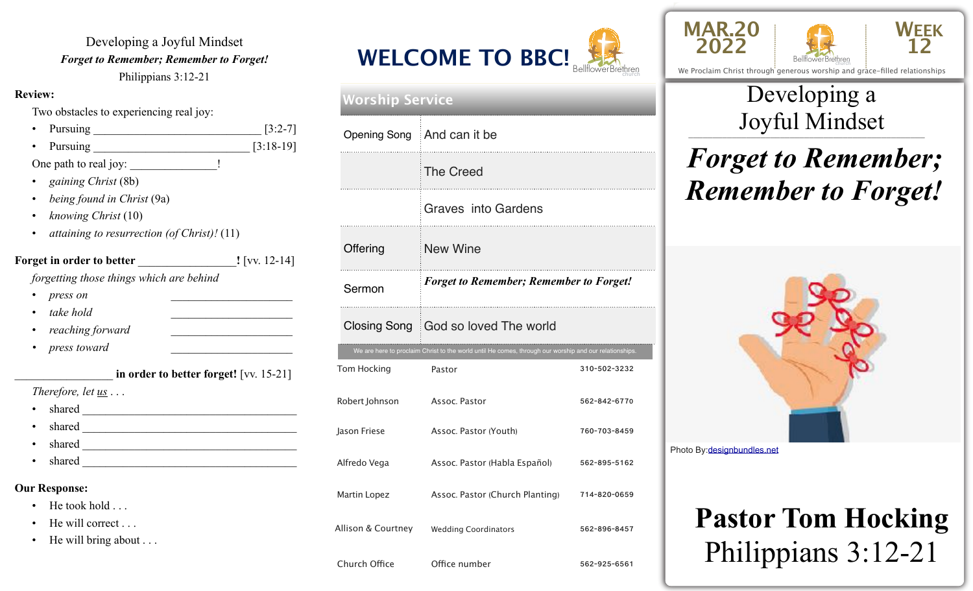Developing a Joyful Mindset *Forget to Remember; Remember to Forget!*  Philippians 3:12-21

#### **Review:**

Two obstacles to experiencing real joy:

- Pursuing \_\_\_\_\_\_\_\_\_\_\_\_\_\_\_\_\_\_\_\_\_\_\_\_\_\_\_\_\_ [3:2-7]
- Pursuing [3:18-19]

One path to real joy: \_\_\_\_\_\_\_\_\_\_\_\_\_\_\_\_\_!

- *gaining Christ* (8b)
- *being found in Christ* (9a)
- *knowing Christ* (10)
- *attaining to resurrection (of Christ)!* (11)

#### **Forget in order to better !** [vv. 12-14] *forgetting those things which are behind* • *press on* \_\_\_\_\_\_\_\_\_\_\_\_\_\_\_\_\_\_\_\_\_ • *take hold* \_\_\_\_\_\_\_\_\_\_\_\_\_\_\_\_\_\_\_\_\_

- *reaching forward* \_\_\_\_\_\_\_\_\_\_\_\_\_\_\_\_\_\_\_\_\_
- *press toward*

#### in order to better forget! [vv. 15-21] *Therefore, let us* . . . • shared \_\_\_\_\_\_\_\_\_\_\_\_\_\_\_\_\_\_\_\_\_\_\_\_\_\_\_\_\_\_\_\_\_\_\_\_\_ shared  $\overline{\phantom{a}}$ shared  $\frac{1}{\sqrt{1-\frac{1}{2}}\sqrt{1-\frac{1}{2}}\sqrt{1-\frac{1}{2}}\sqrt{1-\frac{1}{2}}\sqrt{1-\frac{1}{2}}\sqrt{1-\frac{1}{2}}\sqrt{1-\frac{1}{2}}\sqrt{1-\frac{1}{2}}\sqrt{1-\frac{1}{2}}\sqrt{1-\frac{1}{2}}\sqrt{1-\frac{1}{2}}\sqrt{1-\frac{1}{2}}\sqrt{1-\frac{1}{2}}\sqrt{1-\frac{1}{2}}\sqrt{1-\frac{1}{2}}\sqrt{1-\frac{1}{2}}\sqrt{1-\frac{1}{2}}\sqrt{1-\frac{1}{2}}\sqrt{1-\frac{1}{2$ • shared **Our Response:** • He took hold . . . He will correct . . .

He will bring about . . .



### Tom Hocking Pastor **Pastor** 310-502-3232 Robert Johnson (Assoc. Pastor 662-842-6770) Jason Friese Assoc. Pastor (Youth) 760-703-8459 Alfredo Vega Assoc. Pastor (Habla Español) 562-895-5162 Martin Lopez **Assoc. Pastor (Church Planting)** 714-820-0659 Allison & Courtney Wedding Coordinators 562-896-8457 Church Office **Office number** 562-925-6561 We are here to proclaim Christ to the world until He comes, through our worship and our relationships. **Worship Service** Opening Song And can it be The Creed Graves into Gardens Offering New Wine Sermon *Forget to Remember; Remember to Forget!*  Closing Song God so loved The world



We Proclaim Christ through generous worship and grace-filled relationships

**WEEK 12**

### \_\_\_\_\_\_\_\_\_\_\_\_\_\_\_\_\_\_\_\_\_\_\_\_\_\_\_\_\_\_\_\_\_\_\_\_\_\_\_\_\_\_\_\_\_\_\_\_\_ Joyful Mindset Developing a

# *Forget to Remember; Remember to Forget!*



Photo By:[designbundles.net](http://designbundles.net)

# **Pastor Tom Hocking**  Philippians 3:12-21